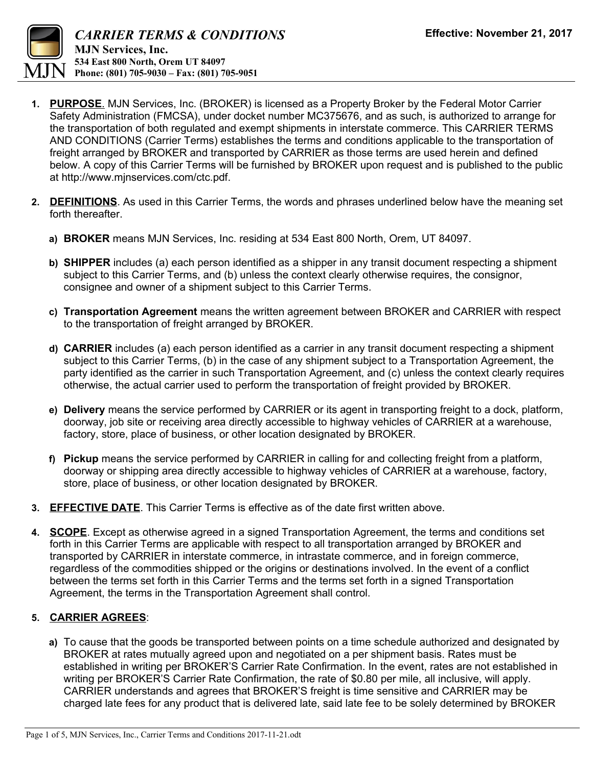

- **1. PURPOSE**. MJN Services, Inc. (BROKER) is licensed as a Property Broker by the Federal Motor Carrier Safety Administration (FMCSA), under docket number MC375676, and as such, is authorized to arrange for the transportation of both regulated and exempt shipments in interstate commerce. This CARRIER TERMS AND CONDITIONS (Carrier Terms) establishes the terms and conditions applicable to the transportation of freight arranged by BROKER and transported by CARRIER as those terms are used herein and defined below. A copy of this Carrier Terms will be furnished by BROKER upon request and is published to the public at http://www.mjnservices.com/ctc.pdf.
- **2. DEFINITIONS**. As used in this Carrier Terms, the words and phrases underlined below have the meaning set forth thereafter.
	- **a) BROKER** means MJN Services, Inc. residing at 534 East 800 North, Orem, UT 84097.
	- **b) SHIPPER** includes (a) each person identified as a shipper in any transit document respecting a shipment subject to this Carrier Terms, and (b) unless the context clearly otherwise requires, the consignor, consignee and owner of a shipment subject to this Carrier Terms.
	- **c) Transportation Agreement** means the written agreement between BROKER and CARRIER with respect to the transportation of freight arranged by BROKER.
	- **d) CARRIER** includes (a) each person identified as a carrier in any transit document respecting a shipment subject to this Carrier Terms, (b) in the case of any shipment subject to a Transportation Agreement, the party identified as the carrier in such Transportation Agreement, and (c) unless the context clearly requires otherwise, the actual carrier used to perform the transportation of freight provided by BROKER.
	- **e) Delivery** means the service performed by CARRIER or its agent in transporting freight to a dock, platform, doorway, job site or receiving area directly accessible to highway vehicles of CARRIER at a warehouse, factory, store, place of business, or other location designated by BROKER.
	- **f) Pickup** means the service performed by CARRIER in calling for and collecting freight from a platform, doorway or shipping area directly accessible to highway vehicles of CARRIER at a warehouse, factory, store, place of business, or other location designated by BROKER.
- **3. EFFECTIVE DATE**. This Carrier Terms is effective as of the date first written above.
- **4. SCOPE**. Except as otherwise agreed in a signed Transportation Agreement, the terms and conditions set forth in this Carrier Terms are applicable with respect to all transportation arranged by BROKER and transported by CARRIER in interstate commerce, in intrastate commerce, and in foreign commerce, regardless of the commodities shipped or the origins or destinations involved. In the event of a conflict between the terms set forth in this Carrier Terms and the terms set forth in a signed Transportation Agreement, the terms in the Transportation Agreement shall control.

## **5. CARRIER AGREES**:

 **a)** To cause that the goods be transported between points on a time schedule authorized and designated by BROKER at rates mutually agreed upon and negotiated on a per shipment basis. Rates must be established in writing per BROKER'S Carrier Rate Confirmation. In the event, rates are not established in writing per BROKER'S Carrier Rate Confirmation, the rate of \$0.80 per mile, all inclusive, will apply. CARRIER understands and agrees that BROKER'S freight is time sensitive and CARRIER may be charged late fees for any product that is delivered late, said late fee to be solely determined by BROKER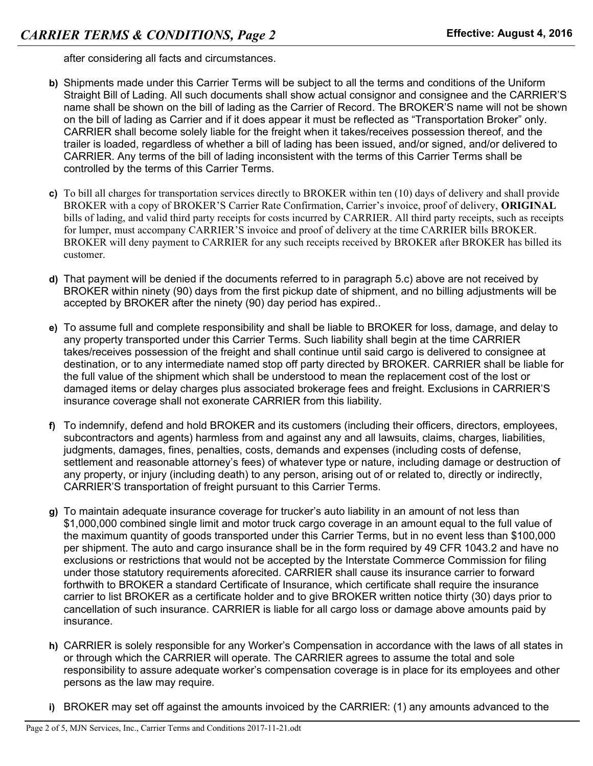after considering all facts and circumstances.

- **b)** Shipments made under this Carrier Terms will be subject to all the terms and conditions of the Uniform Straight Bill of Lading. All such documents shall show actual consignor and consignee and the CARRIER'S name shall be shown on the bill of lading as the Carrier of Record. The BROKER'S name will not be shown on the bill of lading as Carrier and if it does appear it must be reflected as "Transportation Broker" only. CARRIER shall become solely liable for the freight when it takes/receives possession thereof, and the trailer is loaded, regardless of whether a bill of lading has been issued, and/or signed, and/or delivered to CARRIER. Any terms of the bill of lading inconsistent with the terms of this Carrier Terms shall be controlled by the terms of this Carrier Terms.
- **c)** To bill all charges for transportation services directly to BROKER within ten (10) days of delivery and shall provide BROKER with a copy of BROKER'S Carrier Rate Confirmation, Carrier's invoice, proof of delivery, **ORIGINAL** bills of lading, and valid third party receipts for costs incurred by CARRIER. All third party receipts, such as receipts for lumper, must accompany CARRIER'S invoice and proof of delivery at the time CARRIER bills BROKER. BROKER will deny payment to CARRIER for any such receipts received by BROKER after BROKER has billed its customer.
- **d)** That payment will be denied if the documents referred to in paragraph 5.c) above are not received by BROKER within ninety (90) days from the first pickup date of shipment, and no billing adjustments will be accepted by BROKER after the ninety (90) day period has expired..
- **e)** To assume full and complete responsibility and shall be liable to BROKER for loss, damage, and delay to any property transported under this Carrier Terms. Such liability shall begin at the time CARRIER takes/receives possession of the freight and shall continue until said cargo is delivered to consignee at destination, or to any intermediate named stop off party directed by BROKER. CARRIER shall be liable for the full value of the shipment which shall be understood to mean the replacement cost of the lost or damaged items or delay charges plus associated brokerage fees and freight. Exclusions in CARRIER'S insurance coverage shall not exonerate CARRIER from this liability.
- **f)** To indemnify, defend and hold BROKER and its customers (including their officers, directors, employees, subcontractors and agents) harmless from and against any and all lawsuits, claims, charges, liabilities, judgments, damages, fines, penalties, costs, demands and expenses (including costs of defense, settlement and reasonable attorney's fees) of whatever type or nature, including damage or destruction of any property, or injury (including death) to any person, arising out of or related to, directly or indirectly, CARRIER'S transportation of freight pursuant to this Carrier Terms.
- **g)** To maintain adequate insurance coverage for trucker's auto liability in an amount of not less than \$1,000,000 combined single limit and motor truck cargo coverage in an amount equal to the full value of the maximum quantity of goods transported under this Carrier Terms, but in no event less than \$100,000 per shipment. The auto and cargo insurance shall be in the form required by 49 CFR 1043.2 and have no exclusions or restrictions that would not be accepted by the Interstate Commerce Commission for filing under those statutory requirements aforecited. CARRIER shall cause its insurance carrier to forward forthwith to BROKER a standard Certificate of Insurance, which certificate shall require the insurance carrier to list BROKER as a certificate holder and to give BROKER written notice thirty (30) days prior to cancellation of such insurance. CARRIER is liable for all cargo loss or damage above amounts paid by insurance.
- **h)** CARRIER is solely responsible for any Worker's Compensation in accordance with the laws of all states in or through which the CARRIER will operate. The CARRIER agrees to assume the total and sole responsibility to assure adequate worker's compensation coverage is in place for its employees and other persons as the law may require.
- **i)** BROKER may set off against the amounts invoiced by the CARRIER: (1) any amounts advanced to the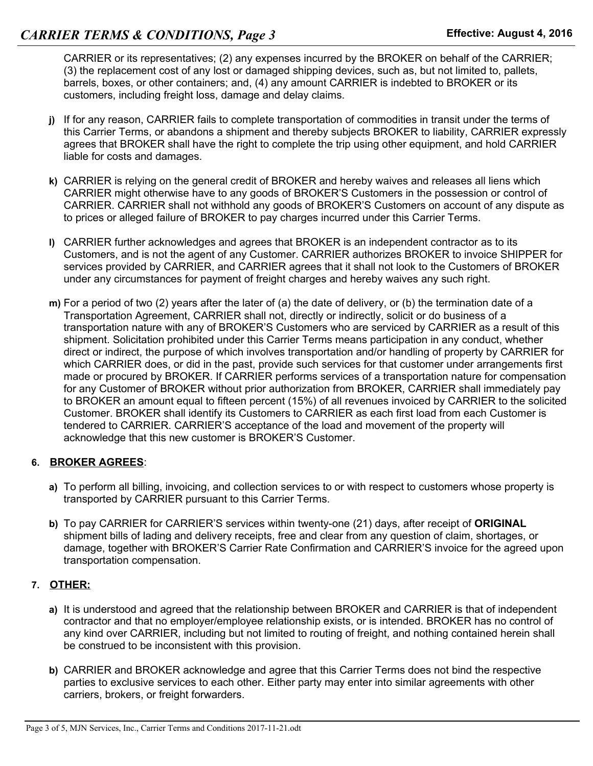CARRIER or its representatives; (2) any expenses incurred by the BROKER on behalf of the CARRIER; (3) the replacement cost of any lost or damaged shipping devices, such as, but not limited to, pallets, barrels, boxes, or other containers; and, (4) any amount CARRIER is indebted to BROKER or its customers, including freight loss, damage and delay claims.

- **j)** If for any reason, CARRIER fails to complete transportation of commodities in transit under the terms of this Carrier Terms, or abandons a shipment and thereby subjects BROKER to liability, CARRIER expressly agrees that BROKER shall have the right to complete the trip using other equipment, and hold CARRIER liable for costs and damages.
- **k)** CARRIER is relying on the general credit of BROKER and hereby waives and releases all liens which CARRIER might otherwise have to any goods of BROKER'S Customers in the possession or control of CARRIER. CARRIER shall not withhold any goods of BROKER'S Customers on account of any dispute as to prices or alleged failure of BROKER to pay charges incurred under this Carrier Terms.
- **l)** CARRIER further acknowledges and agrees that BROKER is an independent contractor as to its Customers, and is not the agent of any Customer. CARRIER authorizes BROKER to invoice SHIPPER for services provided by CARRIER, and CARRIER agrees that it shall not look to the Customers of BROKER under any circumstances for payment of freight charges and hereby waives any such right.
- **m)** For a period of two (2) years after the later of (a) the date of delivery, or (b) the termination date of a Transportation Agreement, CARRIER shall not, directly or indirectly, solicit or do business of a transportation nature with any of BROKER'S Customers who are serviced by CARRIER as a result of this shipment. Solicitation prohibited under this Carrier Terms means participation in any conduct, whether direct or indirect, the purpose of which involves transportation and/or handling of property by CARRIER for which CARRIER does, or did in the past, provide such services for that customer under arrangements first made or procured by BROKER. If CARRIER performs services of a transportation nature for compensation for any Customer of BROKER without prior authorization from BROKER, CARRIER shall immediately pay to BROKER an amount equal to fifteen percent (15%) of all revenues invoiced by CARRIER to the solicited Customer. BROKER shall identify its Customers to CARRIER as each first load from each Customer is tendered to CARRIER. CARRIER'S acceptance of the load and movement of the property will acknowledge that this new customer is BROKER'S Customer.

## **6. BROKER AGREES**:

- **a)** To perform all billing, invoicing, and collection services to or with respect to customers whose property is transported by CARRIER pursuant to this Carrier Terms.
- **b)** To pay CARRIER for CARRIER'S services within twenty-one (21) days, after receipt of **ORIGINAL** shipment bills of lading and delivery receipts, free and clear from any question of claim, shortages, or damage, together with BROKER'S Carrier Rate Confirmation and CARRIER'S invoice for the agreed upon transportation compensation.

## **7. OTHER:**

- **a)** It is understood and agreed that the relationship between BROKER and CARRIER is that of independent contractor and that no employer/employee relationship exists, or is intended. BROKER has no control of any kind over CARRIER, including but not limited to routing of freight, and nothing contained herein shall be construed to be inconsistent with this provision.
- **b)** CARRIER and BROKER acknowledge and agree that this Carrier Terms does not bind the respective parties to exclusive services to each other. Either party may enter into similar agreements with other carriers, brokers, or freight forwarders.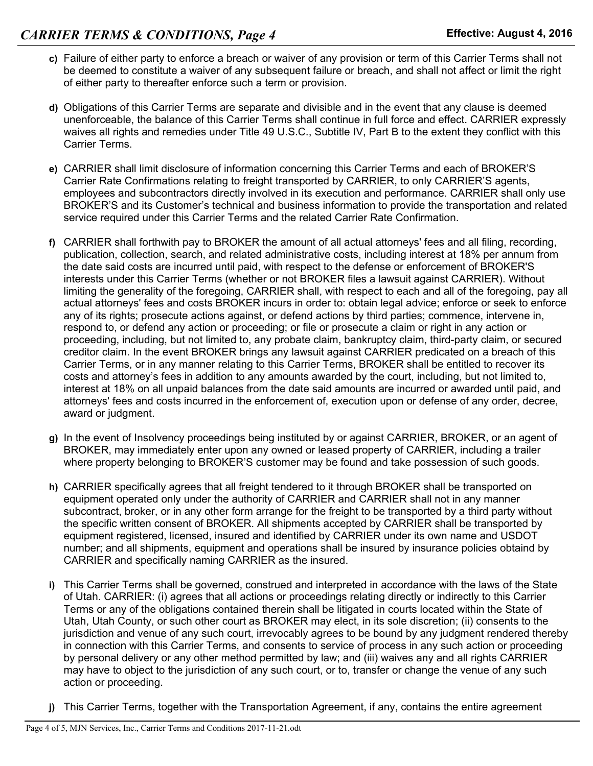- **c)** Failure of either party to enforce a breach or waiver of any provision or term of this Carrier Terms shall not be deemed to constitute a waiver of any subsequent failure or breach, and shall not affect or limit the right of either party to thereafter enforce such a term or provision.
- **d)** Obligations of this Carrier Terms are separate and divisible and in the event that any clause is deemed unenforceable, the balance of this Carrier Terms shall continue in full force and effect. CARRIER expressly waives all rights and remedies under Title 49 U.S.C., Subtitle IV, Part B to the extent they conflict with this Carrier Terms.
- **e)** CARRIER shall limit disclosure of information concerning this Carrier Terms and each of BROKER'S Carrier Rate Confirmations relating to freight transported by CARRIER, to only CARRIER'S agents, employees and subcontractors directly involved in its execution and performance. CARRIER shall only use BROKER'S and its Customer's technical and business information to provide the transportation and related service required under this Carrier Terms and the related Carrier Rate Confirmation.
- **f)** CARRIER shall forthwith pay to BROKER the amount of all actual attorneys' fees and all filing, recording, publication, collection, search, and related administrative costs, including interest at 18% per annum from the date said costs are incurred until paid, with respect to the defense or enforcement of BROKER'S interests under this Carrier Terms (whether or not BROKER files a lawsuit against CARRIER). Without limiting the generality of the foregoing, CARRIER shall, with respect to each and all of the foregoing, pay all actual attorneys' fees and costs BROKER incurs in order to: obtain legal advice; enforce or seek to enforce any of its rights; prosecute actions against, or defend actions by third parties; commence, intervene in, respond to, or defend any action or proceeding; or file or prosecute a claim or right in any action or proceeding, including, but not limited to, any probate claim, bankruptcy claim, third-party claim, or secured creditor claim. In the event BROKER brings any lawsuit against CARRIER predicated on a breach of this Carrier Terms, or in any manner relating to this Carrier Terms, BROKER shall be entitled to recover its costs and attorney's fees in addition to any amounts awarded by the court, including, but not limited to, interest at 18% on all unpaid balances from the date said amounts are incurred or awarded until paid, and attorneys' fees and costs incurred in the enforcement of, execution upon or defense of any order, decree, award or judgment.
- **g)** In the event of Insolvency proceedings being instituted by or against CARRIER, BROKER, or an agent of BROKER, may immediately enter upon any owned or leased property of CARRIER, including a trailer where property belonging to BROKER'S customer may be found and take possession of such goods.
- **h)** CARRIER specifically agrees that all freight tendered to it through BROKER shall be transported on equipment operated only under the authority of CARRIER and CARRIER shall not in any manner subcontract, broker, or in any other form arrange for the freight to be transported by a third party without the specific written consent of BROKER. All shipments accepted by CARRIER shall be transported by equipment registered, licensed, insured and identified by CARRIER under its own name and USDOT number; and all shipments, equipment and operations shall be insured by insurance policies obtaind by CARRIER and specifically naming CARRIER as the insured.
- **i)** This Carrier Terms shall be governed, construed and interpreted in accordance with the laws of the State of Utah. CARRIER: (i) agrees that all actions or proceedings relating directly or indirectly to this Carrier Terms or any of the obligations contained therein shall be litigated in courts located within the State of Utah, Utah County, or such other court as BROKER may elect, in its sole discretion; (ii) consents to the jurisdiction and venue of any such court, irrevocably agrees to be bound by any judgment rendered thereby in connection with this Carrier Terms, and consents to service of process in any such action or proceeding by personal delivery or any other method permitted by law; and (iii) waives any and all rights CARRIER may have to object to the jurisdiction of any such court, or to, transfer or change the venue of any such action or proceeding.
- **j)** This Carrier Terms, together with the Transportation Agreement, if any, contains the entire agreement